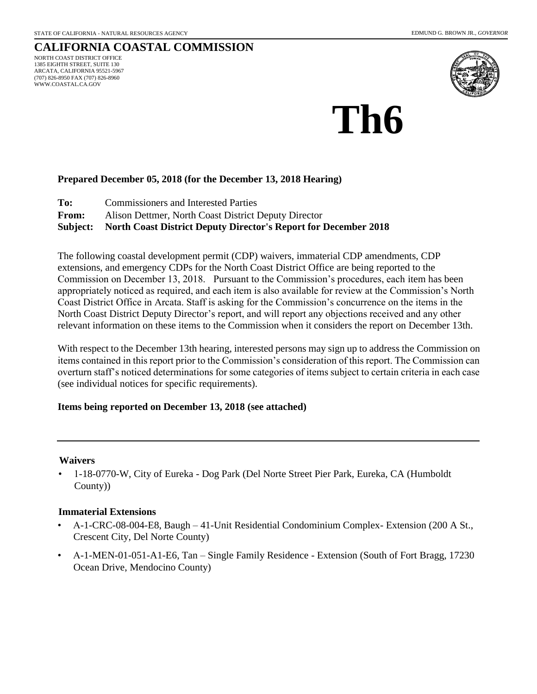### **CALIFORNIA COASTAL COMMISSION** NORTH COAST DISTRICT OFFICE 1385 EIGHTH STREET, SUITE 130

ARCATA, CALIFORNIA 95521-5967 (707) 826-8950 FAX (707) 826-8960 WWW.COASTAL.CA.GOV



# **Th6**

# **Prepared December 05, 2018 (for the December 13, 2018 Hearing)**

**To:** Commissioners and Interested Parties

**From:** Alison Dettmer, North Coast District Deputy Director

**Subject: North Coast District Deputy Director's Report for December 2018** 

The following coastal development permit (CDP) waivers, immaterial CDP amendments, CDP extensions, and emergency CDPs for the North Coast District Office are being reported to the Commission on December 13, 2018. Pursuant to the Commission's procedures, each item has been appropriately noticed as required, and each item is also available for review at the Commission's North Coast District Office in Arcata. Staff is asking for the Commission's concurrence on the items in the North Coast District Deputy Director's report, and will report any objections received and any other relevant information on these items to the Commission when it considers the report on December 13th.

With respect to the December 13th hearing, interested persons may sign up to address the Commission on items contained in this report prior to the Commission's consideration of this report. The Commission can overturn staff's noticed determinations for some categories of items subject to certain criteria in each case (see individual notices for specific requirements).

## **Items being reported on December 13, 2018 (see attached)**

## **Waivers**

• 1-18-0770-W, City of Eureka - Dog Park (Del Norte Street Pier Park, Eureka, CA (Humboldt County))

## **Immaterial Extensions**

- A-1-CRC-08-004-E8, Baugh 41-Unit Residential Condominium Complex- Extension (200 A St., Crescent City, Del Norte County)
- A-1-MEN-01-051-A1-E6, Tan Single Family Residence Extension (South of Fort Bragg, 17230) Ocean Drive, Mendocino County)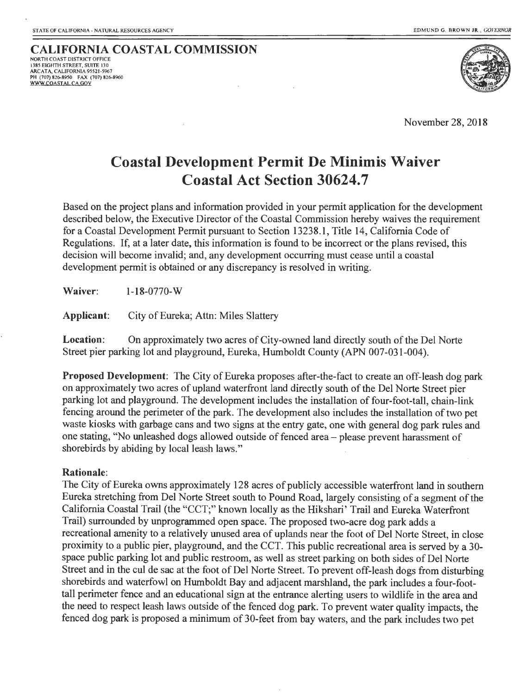#### **CALIFORNIA COASTAL COMMISSION** NORTH COAST DISTRICT OFFICE 1385 EIGHTH STREET, SUITE 130 ARC AT A, CALIFORNIA 95521-5967 PH (707) 826-8950 FAX (707) 826-8960 WWW.COASTAL.CA.GOV



November 28, 2018

# **Coastal Development Permit De Minimis Waiver Coastal Act Section 30624.7**

Based on the project plans and information provided in your permit application for the development described below, the Executive Director of the Coastal Commission hereby waives the requirement for a Coastal Development Permit pursuant to Section 13238.1, Title 14, California Code of Regulations. If, at a later date, this information is found to be incorrect or the plans revised, this decision will become invalid; and, any development occurring must cease until a coastal development permit is obtained or any discrepancy is resolved in writing.

**Waiver:** 1-18-0770-w

**Applicant:** City of Eureka; Attn: Miles Slattery

**Location:** On approximately two acres of City-owned land directly south of the Del Norte Street pier parking lot and playground, Eureka, Humboldt County (APN 007-031-004).

**Proposed Development:** The City of Eureka proposes after-the-fact to create an off-leash dog park on approximately two acres of upland waterfront land directly south of the Del Norte Street pier parking lot and playground. The development includes the installation of four-foot-tall, chain-link fencing around the perimeter of the park. The development also includes the installation of two pet waste kiosks with garbage cans and two signs at the entry gate, one with general dog park rules and one stating, "No unleashed dogs allowed outside of fenced area- please prevent harassment of shorebirds by abiding by local leash laws."

## **Rationale:**

The City of Eureka owns approximately 128 acres of publicly accessible waterfront land in southern Eureka stretching from Del Norte Street south to Pound Road, largely consisting of a segment of the California Coastal Trail (the "CCT;" known locally as the Hikshari' Trail and Eureka Waterfront Trail) surrounded by unprogrammed open space. The proposed two-acre dog park adds a recreational amenity to a relatively unused area of uplands near the foot of Del Norte Street, in close proximity to a public pier, playground, and the CCT. This public recreational area is served by a 30 space public parking lot and public restroom, as well as street parking on both sides of Del Norte Street and in the cui de sac at the foot of Del Norte Street. To prevent off-leash dogs from disturbing shorebirds and waterfowl on Humboldt Bay and adjacent marshland, the park includes a four-foottall perimeter fence and an educational sign at the entrance alerting users to wildlife in the area and the need to respect leash laws outside of the fenced dog park. To prevent water quality impacts, the fenced dog park is proposed a minimum of 30-feet from bay waters, and the park includes two pet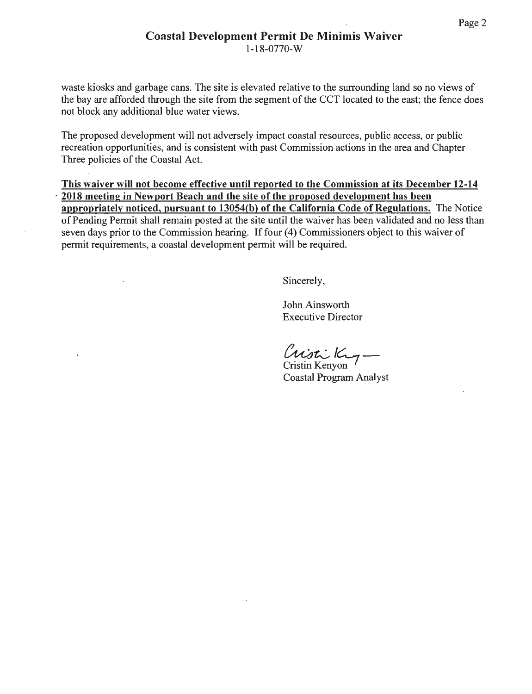waste kiosks and garbage cans. The site is elevated relative to the surrounding land so no views of the bay are afforded through the site from the segment of the CCT located to the east; the fence does not block any additional blue water views.

The proposed development will not adversely impact coastal resources, public access, or public recreation opportunities, and is consistent with past Commission actions in the area and Chapter Three policies of the Coastal Act.

This waiver will not become effective until reported to the Commission at its December 12-14 2018 meeting in Newport Beach and the site of the proposed development has been appropriately noticed, pursuant to 13054(b) of the California Code of Regulations. The Notice of Pending Permit shall remain posted at the site until the waiver has been validated and no less than seven days prior to the Commission hearing. If four (4) Commissioners object to this waiver of permit requirements, a coastal development permit will be required.

Sincerely,

John Ainsworth Executive Director

Cristi King

Coastal Program Analyst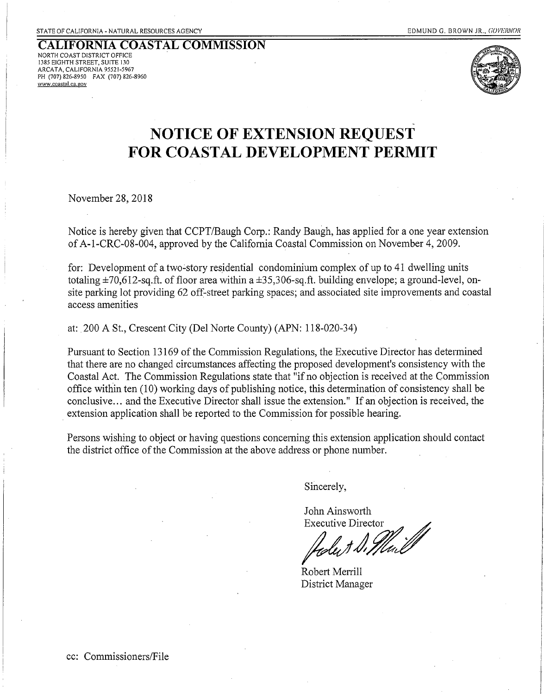#### **CALIFORNIA COASTAL COMMISSION**  NORTH COAST DISTRICT OFFICE 1385 EIGHTH STREET, SUITE 130 ARCATA, CALIFORNIA 95521-5967 PH (707) 826-8950 FAX (707) 826-8960 **www.coastal.ca.gov**



# **NOTICE OF EXTENSION REQUEST FOR COASTAL DEVELOPMENT PERMIT**

November 28, 2018

Notice is hereby given that CCPT/Baugh Corp.: Randy Baugh, has applied for a one year extension of A-1-CRC-08-004, approved by the California Coastal Commission on November 4, 2009.

for: Development of a two-story residential condominium complex of up to 41 dwelling units totaling  $\pm 70,612$ -sq.ft. of floor area within a  $\pm 35,306$ -sq.ft. building envelope; a ground-level, onsite parking lot providing 62 off-street parking spaces; and associated site improvements and coastal access amenities

at:. 200 A St., Crescent City (Del Norte County) (APN: 118-020-34)

Pursuant to Section 13169 of the Commission Regulations, the Executive Director has determined that there are no changed circumstances affecting the proposed development's consistency with the Coastal Act. The Commission Regulations state that "if no objection is received at the Commission office within ten (10) working days of publishing notice, this determination of consistency shall be conclusive ... and the Executive Director shall issue the extension." If an objection is received, the extension application shall be reported to the Commission for possible hearing.

Persons wishing to object or having questions concerning this extension application should contact the district office of the Commission at the above address or phone number.

Sincerely,

John Ainsworth Executive Director

Robert Menill District Manager